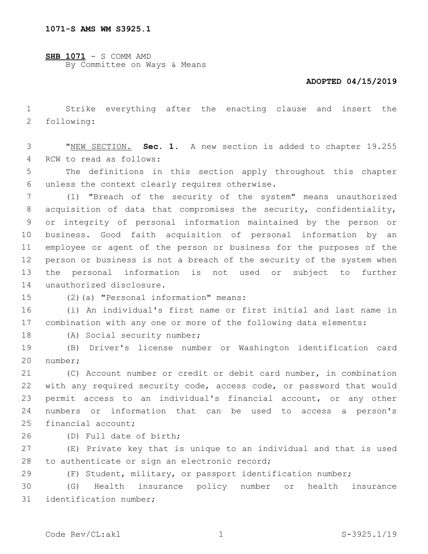**SHB 1071** - S COMM AMD By Committee on Ways & Means

## **ADOPTED 04/15/2019**

1 Strike everything after the enacting clause and insert the 2 following:

3 "NEW SECTION. **Sec. 1.** A new section is added to chapter 19.255 4 RCW to read as follows:

5 The definitions in this section apply throughout this chapter 6 unless the context clearly requires otherwise.

 (1) "Breach of the security of the system" means unauthorized acquisition of data that compromises the security, confidentiality, or integrity of personal information maintained by the person or business. Good faith acquisition of personal information by an employee or agent of the person or business for the purposes of the person or business is not a breach of the security of the system when the personal information is not used or subject to further 14 unauthorized disclosure.

(2)(a) "Personal information" means:15

16 (i) An individual's first name or first initial and last name in 17 combination with any one or more of the following data elements:

18 (A) Social security number;

19 (B) Driver's license number or Washington identification card number;20

 (C) Account number or credit or debit card number, in combination with any required security code, access code, or password that would permit access to an individual's financial account, or any other numbers or information that can be used to access a person's 25 financial account;

(D) Full date of birth;26

27 (E) Private key that is unique to an individual and that is used 28 to authenticate or sign an electronic record;

29 (F) Student, military, or passport identification number;

30 (G) Health insurance policy number or health insurance 31 identification number;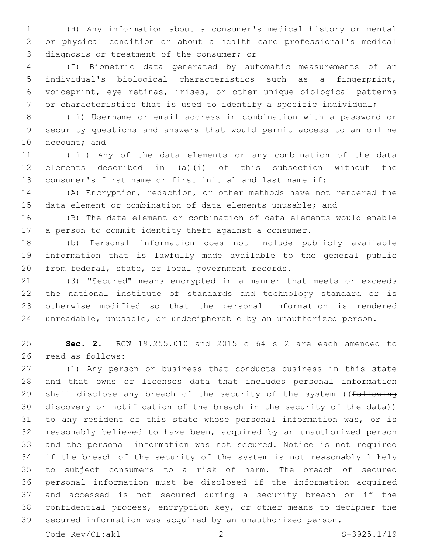(H) Any information about a consumer's medical history or mental or physical condition or about a health care professional's medical 3 diagnosis or treatment of the consumer; or

 (I) Biometric data generated by automatic measurements of an individual's biological characteristics such as a fingerprint, voiceprint, eye retinas, irises, or other unique biological patterns or characteristics that is used to identify a specific individual;

 (ii) Username or email address in combination with a password or security questions and answers that would permit access to an online 10 account; and

 (iii) Any of the data elements or any combination of the data elements described in (a)(i) of this subsection without the consumer's first name or first initial and last name if:

 (A) Encryption, redaction, or other methods have not rendered the data element or combination of data elements unusable; and

 (B) The data element or combination of data elements would enable a person to commit identity theft against a consumer.

 (b) Personal information does not include publicly available information that is lawfully made available to the general public 20 from federal, state, or local government records.

 (3) "Secured" means encrypted in a manner that meets or exceeds the national institute of standards and technology standard or is otherwise modified so that the personal information is rendered unreadable, unusable, or undecipherable by an unauthorized person.

 **Sec. 2.** RCW 19.255.010 and 2015 c 64 s 2 are each amended to 26 read as follows:

 (1) Any person or business that conducts business in this state and that owns or licenses data that includes personal information 29 shall disclose any breach of the security of the system ((following discovery or notification of the breach in the security of the data)) to any resident of this state whose personal information was, or is reasonably believed to have been, acquired by an unauthorized person and the personal information was not secured. Notice is not required if the breach of the security of the system is not reasonably likely to subject consumers to a risk of harm. The breach of secured personal information must be disclosed if the information acquired and accessed is not secured during a security breach or if the confidential process, encryption key, or other means to decipher the secured information was acquired by an unauthorized person.

Code Rev/CL:akl 2 S-3925.1/19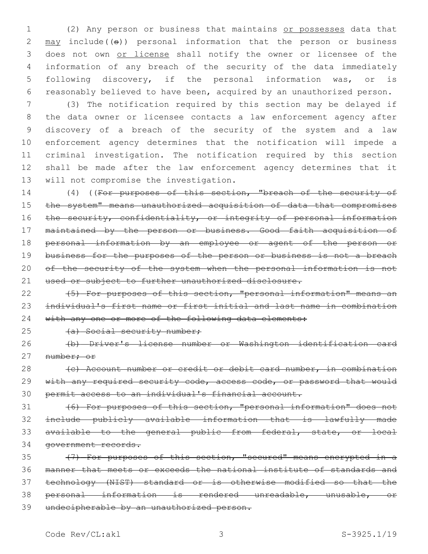(2) Any person or business that maintains or possesses data that  $\text{may}$  include(( $\text{e}$ )) personal information that the person or business does not own or license shall notify the owner or licensee of the information of any breach of the security of the data immediately following discovery, if the personal information was, or is reasonably believed to have been, acquired by an unauthorized person.

 (3) The notification required by this section may be delayed if the data owner or licensee contacts a law enforcement agency after discovery of a breach of the security of the system and a law enforcement agency determines that the notification will impede a criminal investigation. The notification required by this section shall be made after the law enforcement agency determines that it 13 will not compromise the investigation.

14 (4) ((For purposes of this section, "breach of the security of the system" means unauthorized acquisition of data that compromises 16 the security, confidentiality, or integrity of personal information maintained by the person or business. Good faith acquisition of personal information by an employee or agent of the person or 19 business for the purposes of the person or business is not a breach 20 of the security of the system when the personal information is not 21 used or subject to further unauthorized disclosure.

22 (5) For purposes of this section, "personal information" means an individual's first name or first initial and last name in combination 24 with any one or more of the following data elements:

25 (a) Social security number;

 (b) Driver's license number or Washington identification card 27 number; or

28 (c) Account number or credit or debit card number, in combination 29 with any required security code, access code, or password that would permit access to an individual's financial account.

 (6) For purposes of this section, "personal information" does not include publicly available information that is lawfully made available to the general public from federal, state, or local government records.

 (7) For purposes of this section, "secured" means encrypted in a manner that meets or exceeds the national institute of standards and technology (NIST) standard or is otherwise modified so that the personal information is rendered unreadable, unusable, or undecipherable by an unauthorized person.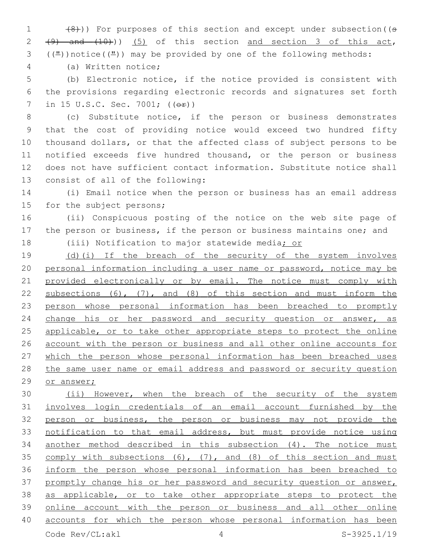1 (8)) For purposes of this section and except under subsection ((s  $2 \left(49\right)$  and  $(10)$ )) (5) of this section and section 3 of this act, ( $(\frac{\pi}{2})$ ) notice( $(\frac{\pi}{2})$ ) may be provided by one of the following methods:

(a) Written notice;4

 (b) Electronic notice, if the notice provided is consistent with the provisions regarding electronic records and signatures set forth 7 in 15 U.S.C. Sec. 7001; ((<del>or</del>))

 (c) Substitute notice, if the person or business demonstrates that the cost of providing notice would exceed two hundred fifty thousand dollars, or that the affected class of subject persons to be notified exceeds five hundred thousand, or the person or business does not have sufficient contact information. Substitute notice shall 13 consist of all of the following:

 (i) Email notice when the person or business has an email address 15 for the subject persons;

 (ii) Conspicuous posting of the notice on the web site page of the person or business, if the person or business maintains one; and

18 (iii) Notification to major statewide media; or

19 (d)(i) If the breach of the security of the system involves personal information including a user name or password, notice may be 21 provided electronically or by email. The notice must comply with subsections (6), (7), and (8) of this section and must inform the person whose personal information has been breached to promptly 24 change his or her password and security question or answer, as 25 applicable, or to take other appropriate steps to protect the online account with the person or business and all other online accounts for 27 which the person whose personal information has been breached uses the same user name or email address and password or security question or answer;

30 (ii) However, when the breach of the security of the system involves login credentials of an email account furnished by the person or business, the person or business may not provide the notification to that email address, but must provide notice using another method described in this subsection (4). The notice must comply with subsections (6), (7), and (8) of this section and must inform the person whose personal information has been breached to 37 promptly change his or her password and security question or answer, as applicable, or to take other appropriate steps to protect the online account with the person or business and all other online accounts for which the person whose personal information has been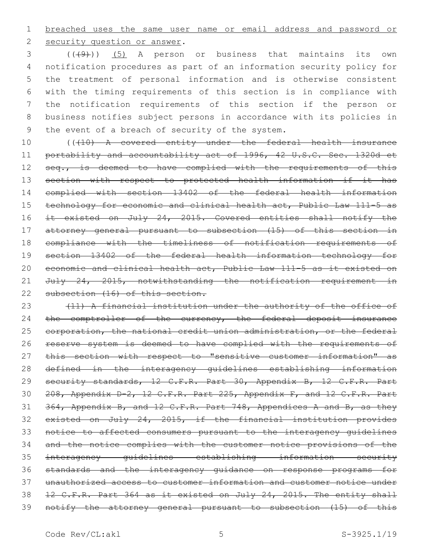breached uses the same user name or email address and password or

2 security question or answer.

  $((+9))$   $(5)$  A person or business that maintains its own notification procedures as part of an information security policy for the treatment of personal information and is otherwise consistent with the timing requirements of this section is in compliance with the notification requirements of this section if the person or business notifies subject persons in accordance with its policies in 9 the event of a breach of security of the system.

10 (((10) A covered entity under the federal health insurance portability and accountability act of 1996, 42 U.S.C. Sec. 1320d et 12 seq., is deemed to have complied with the requirements of this section with respect to protected health information if it has complied with section 13402 of the federal health information technology for economic and clinical health act, Public Law 111-5 as 16 it existed on July 24, 2015. Covered entities shall notify the attorney general pursuant to subsection (15) of this section in compliance with the timeliness of notification requirements of section 13402 of the federal health information technology for economic and clinical health act, Public Law 111-5 as it existed on July 24, 2015, notwithstanding the notification requirement in 22 subsection (16) of this section.

23 (11) A financial institution under the authority of the office of 24 the comptroller of the currency, the federal deposit insurance 25 corporation, the national credit union administration, or the federal reserve system is deemed to have complied with the requirements of 27 this section with respect to "sensitive customer information" as defined in the interagency guidelines establishing information 29 security standards, 12 C.F.R. Part 30, Appendix B, 12 C.F.R. Part 208, Appendix D-2, 12 C.F.R. Part 225, Appendix F, and 12 C.F.R. Part 31 364, Appendix B, and 12 C.F.R. Part 748, Appendices A and B, as they existed on July 24, 2015, if the financial institution provides notice to affected consumers pursuant to the interagency guidelines and the notice complies with the customer notice provisions of the interagency guidelines establishing information security standards and the interagency guidance on response programs for unauthorized access to customer information and customer notice under 12 C.F.R. Part 364 as it existed on July 24, 2015. The entity shall notify the attorney general pursuant to subsection (15) of this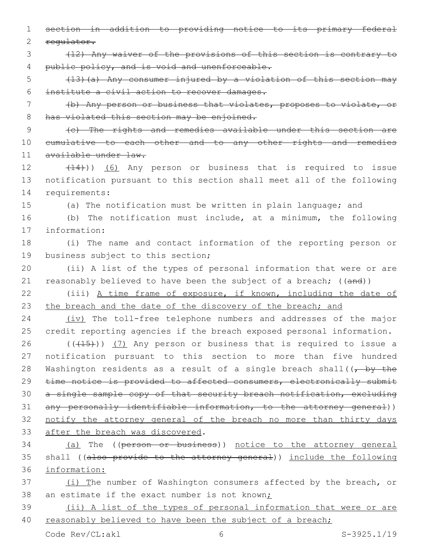1 section in addition to providing notice to its primary federal 2 regulator. 3 (12) Any waiver of the provisions of this section is contrary to 4 public policy, and is void and unenforceable. 5 (13)(a) Any consumer injured by a violation of this section may 6 institute a civil action to recover damages. 7 (b) Any person or business that violates, proposes to violate, or 8 has violated this section may be enjoined. 9 (c) The rights and remedies available under this section are 10 cumulative to each other and to any other rights and remedies 11 available under law. 12 (14))) (6) Any person or business that is required to issue 13 notification pursuant to this section shall meet all of the following 14 requirements: 15 (a) The notification must be written in plain language; and 16 (b) The notification must include, at a minimum, the following 17 information: 18 (i) The name and contact information of the reporting person or 19 business subject to this section; 20 (ii) A list of the types of personal information that were or are 21 reasonably believed to have been the subject of a breach; ((and)) 22 (iii) A time frame of exposure, if known, including the date of 23 the breach and the date of the discovery of the breach; and 24 (iv) The toll-free telephone numbers and addresses of the major 25 credit reporting agencies if the breach exposed personal information.  $26$  (( $(15)$ )) (7) Any person or business that is required to issue a 27 notification pursuant to this section to more than five hundred 28 Washington residents as a result of a single breach shall((, by the 29 time notice is provided to affected consumers, electronically submit 30 a single sample copy of that security breach notification, excluding 31 any personally identifiable information, to the attorney general)) 32 notify the attorney general of the breach no more than thirty days 33 after the breach was discovered. 34 (a) The ((person or business)) notice to the attorney general 35 shall ((also provide to the attorney general)) include the following 36 information: 37 (i) The number of Washington consumers affected by the breach, or 38 an estimate if the exact number is not known; 39 (ii) A list of the types of personal information that were or are

40 reasonably believed to have been the subject of a breach;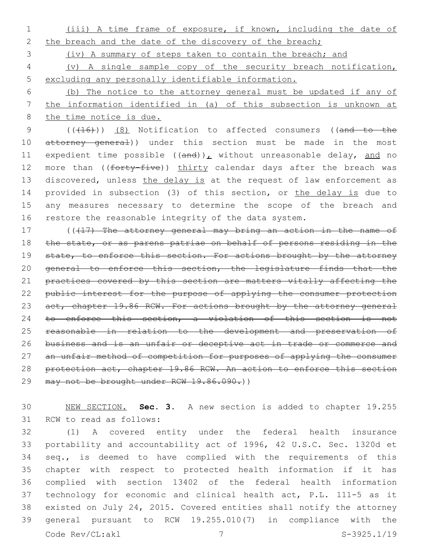1 (iii) A time frame of exposure, if known, including the date of 2 the breach and the date of the discovery of the breach;

3 (iv) A summary of steps taken to contain the breach; and

4 (v) A single sample copy of the security breach notification, 5 excluding any personally identifiable information.

6 (b) The notice to the attorney general must be updated if any of 7 the information identified in (a) of this subsection is unknown at 8 the time notice is due.

9 (((416)) (8) Notification to affected consumers ((and to the 10 attorney general)) under this section must be made in the most 11 expedient time possible  $((and))_L$  without unreasonable delay, and no 12 more than ((forty-five)) thirty calendar days after the breach was 13 discovered, unless the delay is at the request of law enforcement as 14 provided in subsection (3) of this section, or the delay is due to 15 any measures necessary to determine the scope of the breach and 16 restore the reasonable integrity of the data system.

17 ((417) The attorney general may bring an action in the name of 18 the state, or as parens patriae on behalf of persons residing in the 19 state, to enforce this section. For actions brought by the attorney 20 general to enforce this section, the legislature finds that the 21 practices covered by this section are matters vitally affecting the 22 public interest for the purpose of applying the consumer protection 23 act, chapter 19.86 RCW. For actions brought by the attorney general 24 to enforce this section, a violation of this section is not 25 reasonable in relation to the development and preservation of 26 business and is an unfair or deceptive act in trade or commerce and 27 an unfair method of competition for purposes of applying the consumer 28 protection act, chapter 19.86 RCW. An action to enforce this section 29 may not be brought under RCW 19.86.090.))

30 NEW SECTION. **Sec. 3.** A new section is added to chapter 19.255 31 RCW to read as follows:

 (1) A covered entity under the federal health insurance portability and accountability act of 1996, 42 U.S.C. Sec. 1320d et seq., is deemed to have complied with the requirements of this chapter with respect to protected health information if it has complied with section 13402 of the federal health information technology for economic and clinical health act, P.L. 111-5 as it existed on July 24, 2015. Covered entities shall notify the attorney general pursuant to RCW 19.255.010(7) in compliance with the Code Rev/CL:akl 7 S-3925.1/19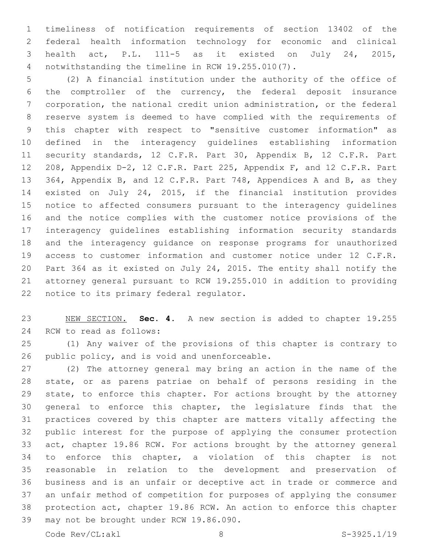timeliness of notification requirements of section 13402 of the federal health information technology for economic and clinical health act, P.L. 111-5 as it existed on July 24, 2015, notwithstanding the timeline in RCW 19.255.010(7).4

 (2) A financial institution under the authority of the office of the comptroller of the currency, the federal deposit insurance corporation, the national credit union administration, or the federal reserve system is deemed to have complied with the requirements of this chapter with respect to "sensitive customer information" as defined in the interagency guidelines establishing information 11 security standards, 12 C.F.R. Part 30, Appendix B, 12 C.F.R. Part 208, Appendix D-2, 12 C.F.R. Part 225, Appendix F, and 12 C.F.R. Part 364, Appendix B, and 12 C.F.R. Part 748, Appendices A and B, as they existed on July 24, 2015, if the financial institution provides notice to affected consumers pursuant to the interagency guidelines and the notice complies with the customer notice provisions of the interagency guidelines establishing information security standards and the interagency guidance on response programs for unauthorized access to customer information and customer notice under 12 C.F.R. Part 364 as it existed on July 24, 2015. The entity shall notify the attorney general pursuant to RCW 19.255.010 in addition to providing 22 notice to its primary federal regulator.

 NEW SECTION. **Sec. 4.** A new section is added to chapter 19.255 24 RCW to read as follows:

 (1) Any waiver of the provisions of this chapter is contrary to 26 public policy, and is void and unenforceable.

 (2) The attorney general may bring an action in the name of the state, or as parens patriae on behalf of persons residing in the state, to enforce this chapter. For actions brought by the attorney general to enforce this chapter, the legislature finds that the practices covered by this chapter are matters vitally affecting the public interest for the purpose of applying the consumer protection act, chapter 19.86 RCW. For actions brought by the attorney general to enforce this chapter, a violation of this chapter is not reasonable in relation to the development and preservation of business and is an unfair or deceptive act in trade or commerce and an unfair method of competition for purposes of applying the consumer protection act, chapter 19.86 RCW. An action to enforce this chapter 39 may not be brought under RCW 19.86.090.

Code Rev/CL:akl 8 S-3925.1/19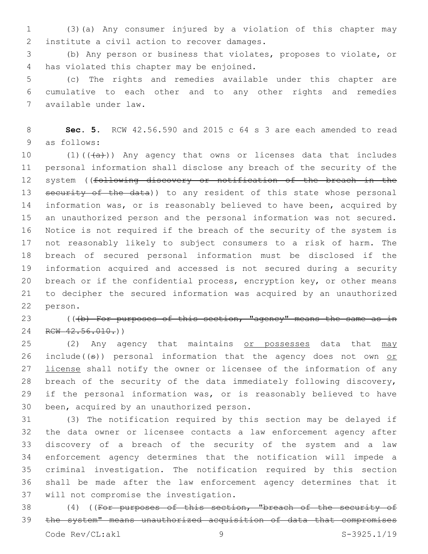1 (3)(a) Any consumer injured by a violation of this chapter may 2 institute a civil action to recover damages.

3 (b) Any person or business that violates, proposes to violate, or 4 has violated this chapter may be enjoined.

5 (c) The rights and remedies available under this chapter are 6 cumulative to each other and to any other rights and remedies available under law.7

8 **Sec. 5.** RCW 42.56.590 and 2015 c 64 s 3 are each amended to read 9 as follows:

 $(1)((+a))$  Any agency that owns or licenses data that includes personal information shall disclose any breach of the security of the 12 system ((following discovery or notification of the breach in the 13 security of the data)) to any resident of this state whose personal information was, or is reasonably believed to have been, acquired by an unauthorized person and the personal information was not secured. Notice is not required if the breach of the security of the system is not reasonably likely to subject consumers to a risk of harm. The breach of secured personal information must be disclosed if the information acquired and accessed is not secured during a security breach or if the confidential process, encryption key, or other means to decipher the secured information was acquired by an unauthorized 22 person.

23 (((b) For purposes of this section, "agency" means the same as in 24 RCW 42.56.010.)

25 (2) Any agency that maintains or possesses data that may 26 include( $(\theta)$ ) personal information that the agency does not own or 27 license shall notify the owner or licensee of the information of any 28 breach of the security of the data immediately following discovery, 29 if the personal information was, or is reasonably believed to have 30 been, acquired by an unauthorized person.

 (3) The notification required by this section may be delayed if the data owner or licensee contacts a law enforcement agency after discovery of a breach of the security of the system and a law enforcement agency determines that the notification will impede a criminal investigation. The notification required by this section shall be made after the law enforcement agency determines that it 37 will not compromise the investigation.

38 (4) ((For purposes of this section, "breach of the security of 39 the system" means unauthorized acquisition of data that compromises Code Rev/CL:akl 9 9 S-3925.1/19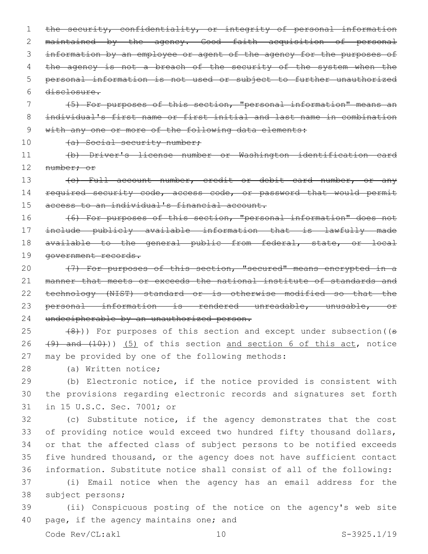1 the security, confidentiality, or integrity of personal information 2 maintained by the agency. Good faith acquisition of personal 3 information by an employee or agent of the agency for the purposes of 4 the agency is not a breach of the security of the system when the 5 personal information is not used or subject to further unauthorized 6 disclosure.

7 (5) For purposes of this section, "personal information" means an 8 individual's first name or first initial and last name in combination 9 with any one or more of the following data elements:

10 (a) Social security number;

11 (b) Driver's license number or Washington identification card 12 number; or

13 (c) Full account number, credit or debit card number, or any 14 required security code, access code, or password that would permit 15 access to an individual's financial account.

16 (6) For purposes of this section, "personal information" does not 17 include publicly available information that is lawfully made 18 available to the general public from federal, state, or local 19 government records.

20 (7) For purposes of this section, "secured" means encrypted in a 21 manner that meets or exceeds the national institute of standards and 22 technology (NIST) standard or is otherwise modified so that the 23 personal information is rendered unreadable, unusable, or 24 undecipherable by an unauthorized person.

 $(8)$  (8))) For purposes of this section and except under subsection ((s 26  $(9)$  and  $(10)$ ) (5) of this section and section 6 of this act, notice 27 may be provided by one of the following methods:

28 (a) Written notice;

29 (b) Electronic notice, if the notice provided is consistent with 30 the provisions regarding electronic records and signatures set forth 31 in 15 U.S.C. Sec. 7001; or

 (c) Substitute notice, if the agency demonstrates that the cost of providing notice would exceed two hundred fifty thousand dollars, or that the affected class of subject persons to be notified exceeds five hundred thousand, or the agency does not have sufficient contact information. Substitute notice shall consist of all of the following:

37 (i) Email notice when the agency has an email address for the 38 subject persons;

39 (ii) Conspicuous posting of the notice on the agency's web site 40 page, if the agency maintains one; and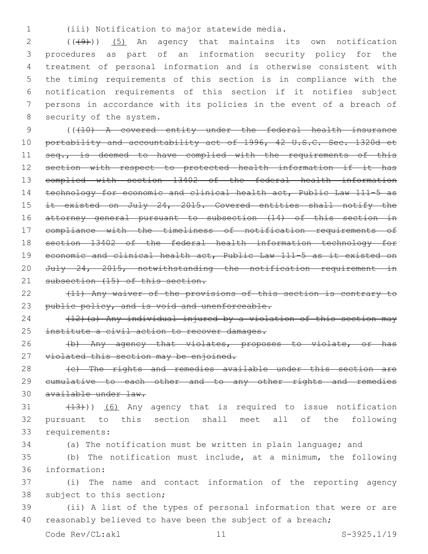(iii) Notification to major statewide media.1

 ( $(\overline{(+9)})$   $(5)$  An agency that maintains its own notification procedures as part of an information security policy for the treatment of personal information and is otherwise consistent with the timing requirements of this section is in compliance with the notification requirements of this section if it notifies subject persons in accordance with its policies in the event of a breach of 8 security of the system.

 (((10) A covered entity under the federal health insurance 10 portability and accountability act of 1996, 42 U.S.C. Sec. 1320d et 11 seq., is deemed to have complied with the requirements of this section with respect to protected health information if it has complied with section 13402 of the federal health information technology for economic and clinical health act, Public Law 111-5 as it existed on July 24, 2015. Covered entities shall notify the attorney general pursuant to subsection (14) of this section in compliance with the timeliness of notification requirements of section 13402 of the federal health information technology for economic and clinical health act, Public Law 111-5 as it existed on July 24, 2015, notwithstanding the notification requirement in 21 subsection (15) of this section.

22 (11) Any waiver of the provisions of this section is contrary to 23 public policy, and is void and unenforceable.

24 (12)(a) Any individual injured by a violation of this section may 25 institute a civil action to recover damages.

26 (b) Any agency that violates, proposes to violate, or has 27 violated this section may be enjoined.

28 (c) The rights and remedies available under this section are 29 cumulative to each other and to any other rights and remedies 30 available under law.

 $(13)$   $(6)$  Any agency that is required to issue notification 32 pursuant to this section shall meet all of the following 33 requirements:

34 (a) The notification must be written in plain language; and

35 (b) The notification must include, at a minimum, the following information:36

37 (i) The name and contact information of the reporting agency 38 subject to this section;

39 (ii) A list of the types of personal information that were or are 40 reasonably believed to have been the subject of a breach;

Code Rev/CL:akl 11 S-3925.1/19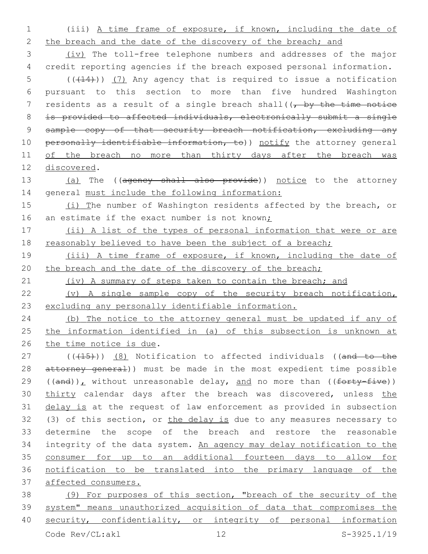1 (iii) A time frame of exposure, if known, including the date of 2 the breach and the date of the discovery of the breach; and 3 (iv) The toll-free telephone numbers and addresses of the major 4 credit reporting agencies if the breach exposed personal information.  $5$  (( $(14)$ )) (7) Any agency that is required to issue a notification 6 pursuant to this section to more than five hundred Washington 7 residents as a result of a single breach shall( $(-$ by the time notice 8 is provided to affected individuals, electronically submit a single 9 sample copy of that security breach notification, excluding any 10 personally identifiable information, to)) notify the attorney general 11 of the breach no more than thirty days after the breach was 12 discovered. 13 (a) The ((agency shall also provide)) notice to the attorney 14 general must include the following information: 15 (i) The number of Washington residents affected by the breach, or 16 an estimate if the exact number is not known; 17 (ii) A list of the types of personal information that were or are 18 reasonably believed to have been the subject of a breach; 19 (iii) A time frame of exposure, if known, including the date of 20 the breach and the date of the discovery of the breach; 21 (iv) A summary of steps taken to contain the breach; and 22 (v) A single sample copy of the security breach notification, 23 excluding any personally identifiable information. 24 (b) The notice to the attorney general must be updated if any of 25 the information identified in (a) of this subsection is unknown at 26 the time notice is due. 27 (((415))) (8) Notification to affected individuals ((and to the 28 attorney general)) must be made in the most expedient time possible 29 ((and)), without unreasonable delay, and no more than (( $forty-five$ )) 30 thirty calendar days after the breach was discovered, unless the 31 delay is at the request of law enforcement as provided in subsection 32 (3) of this section, or the delay is due to any measures necessary to 33 determine the scope of the breach and restore the reasonable 34 integrity of the data system. An agency may delay notification to the 35 consumer for up to an additional fourteen days to allow for 36 notification to be translated into the primary language of the 37 affected consumers. 38 (9) For purposes of this section, "breach of the security of the 39 system" means unauthorized acquisition of data that compromises the

40 security, confidentiality, or integrity of personal information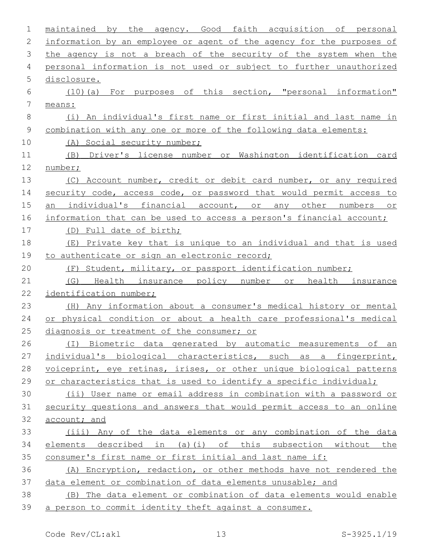| $\mathbf 1$     | the<br>maintained by<br>agency. Good faith acquisition of personal    |
|-----------------|-----------------------------------------------------------------------|
| $\mathbf{2}$    | information by an employee or agent of the agency for the purposes of |
| 3               | the agency is not a breach of the security of the system when the     |
| 4               | personal information is not used or subject to further unauthorized   |
| 5               | disclosure.                                                           |
| 6               | (10) (a) For purposes of this section, "personal information"         |
| $7\phantom{.0}$ | means:                                                                |
| $8\,$           | (i) An individual's first name or first initial and last name in      |
| 9               | combination with any one or more of the following data elements:      |
| 10              | (A) Social security number;                                           |
| 11              | (B) Driver's license number or Washington identification card         |
| 12              | number;                                                               |
| 13              | (C) Account number, credit or debit card number, or any required      |
| 14              | security code, access code, or password that would permit access to   |
| 15              | an individual's financial account, or any other numbers or            |
| 16              | information that can be used to access a person's financial account;  |
| 17              | (D) Full date of birth;                                               |
| 18              | (E) Private key that is unique to an individual and that is used      |
| 19              | to authenticate or sign an electronic record;                         |
| 20              | (F) Student, military, or passport identification number;             |
| 21              | (G) Health insurance policy number or health insurance                |
| 22              | identification number;                                                |
| 23              | (H) Any information about a consumer's medical history or mental      |
| 24              | or physical condition or about a health care professional's medical   |
| 25              | diagnosis or treatment of the consumer; or                            |
| 26              | (I) Biometric data generated by automatic measurements of an          |
| 27              | individual's biological characteristics, such as a fingerprint,       |
| 28              | voiceprint, eye retinas, irises, or other unique biological patterns  |
| 29              | or characteristics that is used to identify a specific individual;    |
| 30              | (ii) User name or email address in combination with a password or     |
| 31              | security questions and answers that would permit access to an online  |
| 32              | account; and                                                          |
| 33              | (iii) Any of the data elements or any combination of the data         |
| 34              | elements described in (a)(i) of this subsection without the           |
| 35              | consumer's first name or first initial and last name if:              |
| 36              | (A) Encryption, redaction, or other methods have not rendered the     |
| 37              | data element or combination of data elements unusable; and            |
| 38              | (B) The data element or combination of data elements would enable     |
| 39              | a person to commit identity theft against a consumer.                 |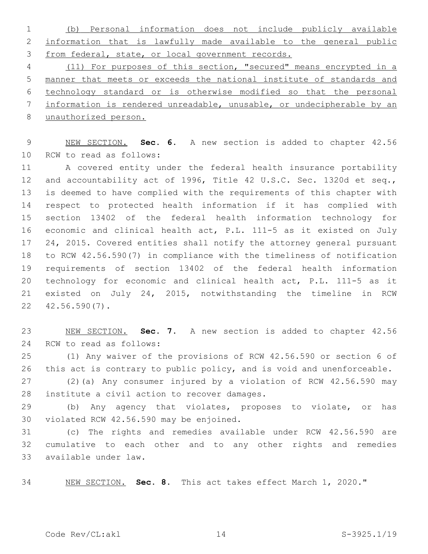(b) Personal information does not include publicly available information that is lawfully made available to the general public from federal, state, or local government records.

 (11) For purposes of this section, "secured" means encrypted in a manner that meets or exceeds the national institute of standards and technology standard or is otherwise modified so that the personal information is rendered unreadable, unusable, or undecipherable by an unauthorized person.

 NEW SECTION. **Sec. 6.** A new section is added to chapter 42.56 10 RCW to read as follows:

 A covered entity under the federal health insurance portability and accountability act of 1996, Title 42 U.S.C. Sec. 1320d et seq., is deemed to have complied with the requirements of this chapter with respect to protected health information if it has complied with section 13402 of the federal health information technology for economic and clinical health act, P.L. 111-5 as it existed on July 24, 2015. Covered entities shall notify the attorney general pursuant to RCW 42.56.590(7) in compliance with the timeliness of notification requirements of section 13402 of the federal health information technology for economic and clinical health act, P.L. 111-5 as it existed on July 24, 2015, notwithstanding the timeline in RCW  $22 \quad 42.56.590(7)$ .

 NEW SECTION. **Sec. 7.** A new section is added to chapter 42.56 24 RCW to read as follows:

 (1) Any waiver of the provisions of RCW 42.56.590 or section 6 of 26 this act is contrary to public policy, and is void and unenforceable.

 (2)(a) Any consumer injured by a violation of RCW 42.56.590 may 28 institute a civil action to recover damages.

 (b) Any agency that violates, proposes to violate, or has 30 violated RCW 42.56.590 may be enjoined.

 (c) The rights and remedies available under RCW 42.56.590 are cumulative to each other and to any other rights and remedies available under law.33

NEW SECTION. **Sec. 8.** This act takes effect March 1, 2020."